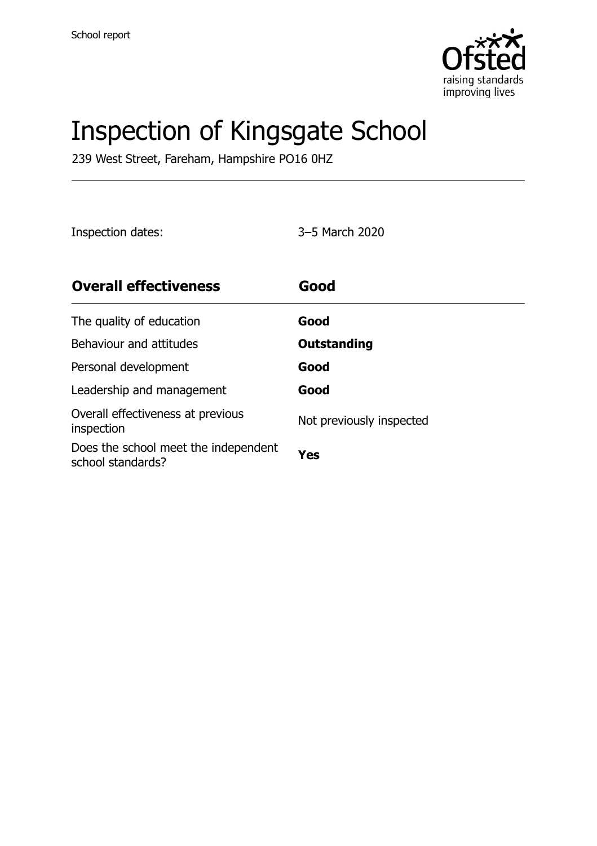

# Inspection of Kingsgate School

239 West Street, Fareham, Hampshire PO16 0HZ

Inspection dates: 3–5 March 2020

| <b>Overall effectiveness</b>                              | Good                     |
|-----------------------------------------------------------|--------------------------|
| The quality of education                                  | Good                     |
| Behaviour and attitudes                                   | Outstanding              |
| Personal development                                      | Good                     |
| Leadership and management                                 | Good                     |
| Overall effectiveness at previous<br>inspection           | Not previously inspected |
| Does the school meet the independent<br>school standards? | Yes                      |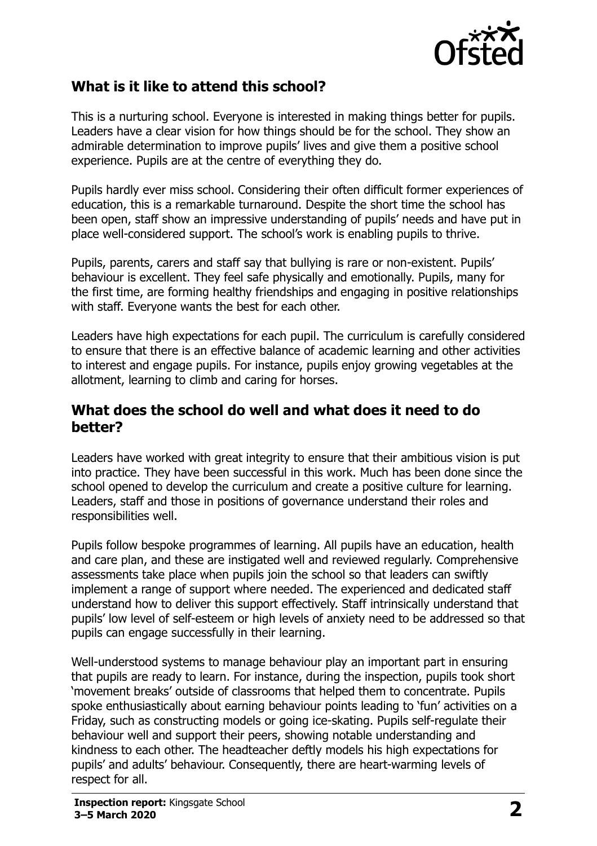

#### **What is it like to attend this school?**

This is a nurturing school. Everyone is interested in making things better for pupils. Leaders have a clear vision for how things should be for the school. They show an admirable determination to improve pupils' lives and give them a positive school experience. Pupils are at the centre of everything they do.

Pupils hardly ever miss school. Considering their often difficult former experiences of education, this is a remarkable turnaround. Despite the short time the school has been open, staff show an impressive understanding of pupils' needs and have put in place well-considered support. The school's work is enabling pupils to thrive.

Pupils, parents, carers and staff say that bullying is rare or non-existent. Pupils' behaviour is excellent. They feel safe physically and emotionally. Pupils, many for the first time, are forming healthy friendships and engaging in positive relationships with staff. Everyone wants the best for each other.

Leaders have high expectations for each pupil. The curriculum is carefully considered to ensure that there is an effective balance of academic learning and other activities to interest and engage pupils. For instance, pupils enjoy growing vegetables at the allotment, learning to climb and caring for horses.

#### **What does the school do well and what does it need to do better?**

Leaders have worked with great integrity to ensure that their ambitious vision is put into practice. They have been successful in this work. Much has been done since the school opened to develop the curriculum and create a positive culture for learning. Leaders, staff and those in positions of governance understand their roles and responsibilities well.

Pupils follow bespoke programmes of learning. All pupils have an education, health and care plan, and these are instigated well and reviewed regularly. Comprehensive assessments take place when pupils join the school so that leaders can swiftly implement a range of support where needed. The experienced and dedicated staff understand how to deliver this support effectively. Staff intrinsically understand that pupils' low level of self-esteem or high levels of anxiety need to be addressed so that pupils can engage successfully in their learning.

Well-understood systems to manage behaviour play an important part in ensuring that pupils are ready to learn. For instance, during the inspection, pupils took short 'movement breaks' outside of classrooms that helped them to concentrate. Pupils spoke enthusiastically about earning behaviour points leading to 'fun' activities on a Friday, such as constructing models or going ice-skating. Pupils self-regulate their behaviour well and support their peers, showing notable understanding and kindness to each other. The headteacher deftly models his high expectations for pupils' and adults' behaviour. Consequently, there are heart-warming levels of respect for all.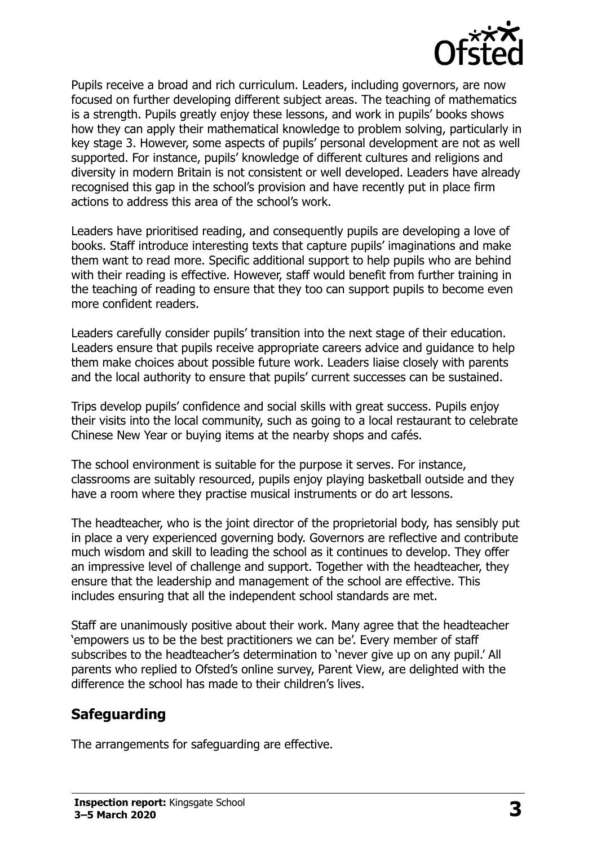

Pupils receive a broad and rich curriculum. Leaders, including governors, are now focused on further developing different subject areas. The teaching of mathematics is a strength. Pupils greatly enjoy these lessons, and work in pupils' books shows how they can apply their mathematical knowledge to problem solving, particularly in key stage 3. However, some aspects of pupils' personal development are not as well supported. For instance, pupils' knowledge of different cultures and religions and diversity in modern Britain is not consistent or well developed. Leaders have already recognised this gap in the school's provision and have recently put in place firm actions to address this area of the school's work.

Leaders have prioritised reading, and consequently pupils are developing a love of books. Staff introduce interesting texts that capture pupils' imaginations and make them want to read more. Specific additional support to help pupils who are behind with their reading is effective. However, staff would benefit from further training in the teaching of reading to ensure that they too can support pupils to become even more confident readers.

Leaders carefully consider pupils' transition into the next stage of their education. Leaders ensure that pupils receive appropriate careers advice and guidance to help them make choices about possible future work. Leaders liaise closely with parents and the local authority to ensure that pupils' current successes can be sustained.

Trips develop pupils' confidence and social skills with great success. Pupils enjoy their visits into the local community, such as going to a local restaurant to celebrate Chinese New Year or buying items at the nearby shops and cafés.

The school environment is suitable for the purpose it serves. For instance, classrooms are suitably resourced, pupils enjoy playing basketball outside and they have a room where they practise musical instruments or do art lessons.

The headteacher, who is the joint director of the proprietorial body, has sensibly put in place a very experienced governing body. Governors are reflective and contribute much wisdom and skill to leading the school as it continues to develop. They offer an impressive level of challenge and support. Together with the headteacher, they ensure that the leadership and management of the school are effective. This includes ensuring that all the independent school standards are met.

Staff are unanimously positive about their work. Many agree that the headteacher 'empowers us to be the best practitioners we can be'. Every member of staff subscribes to the headteacher's determination to 'never give up on any pupil.' All parents who replied to Ofsted's online survey, Parent View, are delighted with the difference the school has made to their children's lives.

### **Safeguarding**

The arrangements for safeguarding are effective.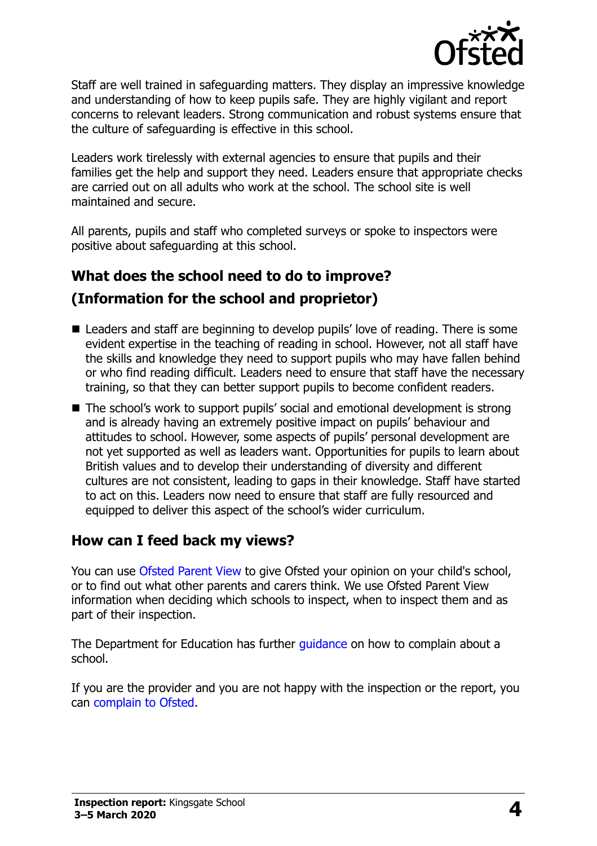

Staff are well trained in safeguarding matters. They display an impressive knowledge and understanding of how to keep pupils safe. They are highly vigilant and report concerns to relevant leaders. Strong communication and robust systems ensure that the culture of safeguarding is effective in this school.

Leaders work tirelessly with external agencies to ensure that pupils and their families get the help and support they need. Leaders ensure that appropriate checks are carried out on all adults who work at the school. The school site is well maintained and secure.

All parents, pupils and staff who completed surveys or spoke to inspectors were positive about safeguarding at this school.

## **What does the school need to do to improve?**

### **(Information for the school and proprietor)**

- Leaders and staff are beginning to develop pupils' love of reading. There is some evident expertise in the teaching of reading in school. However, not all staff have the skills and knowledge they need to support pupils who may have fallen behind or who find reading difficult. Leaders need to ensure that staff have the necessary training, so that they can better support pupils to become confident readers.
- The school's work to support pupils' social and emotional development is strong and is already having an extremely positive impact on pupils' behaviour and attitudes to school. However, some aspects of pupils' personal development are not yet supported as well as leaders want. Opportunities for pupils to learn about British values and to develop their understanding of diversity and different cultures are not consistent, leading to gaps in their knowledge. Staff have started to act on this. Leaders now need to ensure that staff are fully resourced and equipped to deliver this aspect of the school's wider curriculum.

### **How can I feed back my views?**

You can use [Ofsted Parent View](http://parentview.ofsted.gov.uk/) to give Ofsted your opinion on your child's school, or to find out what other parents and carers think. We use Ofsted Parent View information when deciding which schools to inspect, when to inspect them and as part of their inspection.

The Department for Education has further quidance on how to complain about a school.

If you are the provider and you are not happy with the inspection or the report, you can [complain to Ofsted.](http://www.gov.uk/complain-ofsted-report)

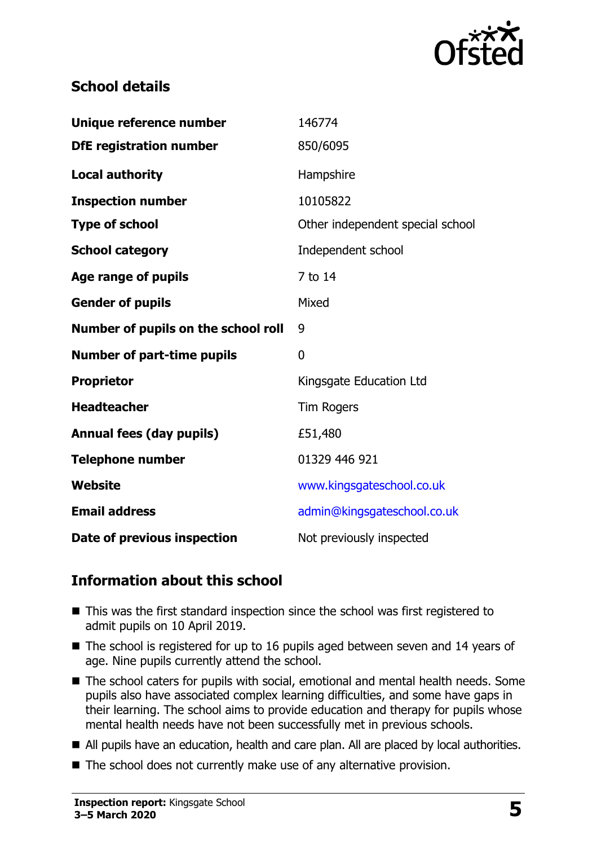

### **School details**

| Unique reference number             | 146774                           |
|-------------------------------------|----------------------------------|
| <b>DfE registration number</b>      | 850/6095                         |
| <b>Local authority</b>              | Hampshire                        |
| <b>Inspection number</b>            | 10105822                         |
| <b>Type of school</b>               | Other independent special school |
| <b>School category</b>              | Independent school               |
| <b>Age range of pupils</b>          | 7 to 14                          |
| <b>Gender of pupils</b>             | Mixed                            |
| Number of pupils on the school roll | 9                                |
| <b>Number of part-time pupils</b>   | 0                                |
| <b>Proprietor</b>                   | Kingsgate Education Ltd          |
| <b>Headteacher</b>                  | <b>Tim Rogers</b>                |
| <b>Annual fees (day pupils)</b>     | £51,480                          |
| <b>Telephone number</b>             | 01329 446 921                    |
| <b>Website</b>                      | www.kingsgateschool.co.uk        |
| <b>Email address</b>                | admin@kingsgateschool.co.uk      |
| Date of previous inspection         | Not previously inspected         |

#### **Information about this school**

- This was the first standard inspection since the school was first registered to admit pupils on 10 April 2019.
- The school is registered for up to 16 pupils aged between seven and 14 years of age. Nine pupils currently attend the school.
- The school caters for pupils with social, emotional and mental health needs. Some pupils also have associated complex learning difficulties, and some have gaps in their learning. The school aims to provide education and therapy for pupils whose mental health needs have not been successfully met in previous schools.
- All pupils have an education, health and care plan. All are placed by local authorities.
- The school does not currently make use of any alternative provision.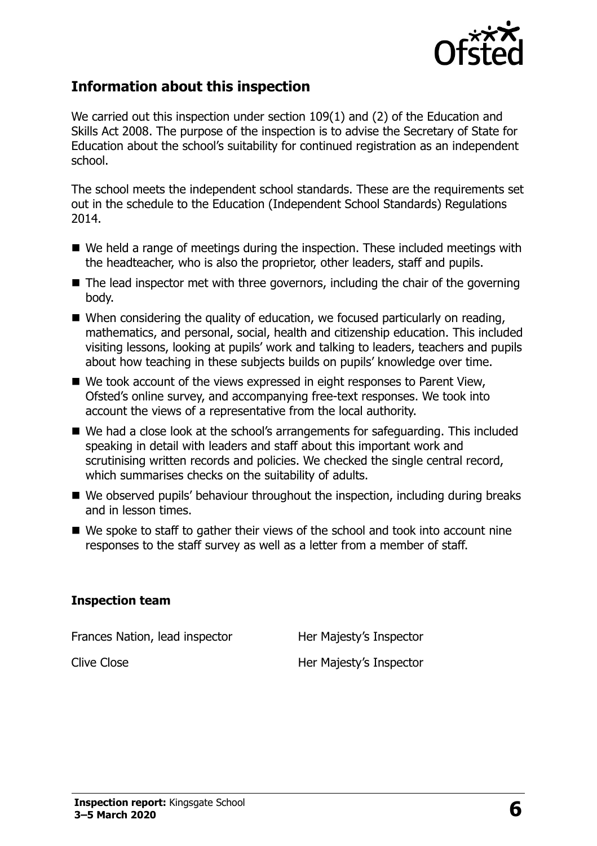

#### **Information about this inspection**

We carried out this inspection under section 109(1) and (2) of the Education and Skills Act 2008. The purpose of the inspection is to advise the Secretary of State for Education about the school's suitability for continued registration as an independent school.

The school meets the independent school standards. These are the requirements set out in the schedule to the Education (Independent School Standards) Regulations 2014.

- We held a range of meetings during the inspection. These included meetings with the headteacher, who is also the proprietor, other leaders, staff and pupils.
- $\blacksquare$  The lead inspector met with three governors, including the chair of the governing body.
- When considering the quality of education, we focused particularly on reading, mathematics, and personal, social, health and citizenship education. This included visiting lessons, looking at pupils' work and talking to leaders, teachers and pupils about how teaching in these subjects builds on pupils' knowledge over time.
- We took account of the views expressed in eight responses to Parent View, Ofsted's online survey, and accompanying free-text responses. We took into account the views of a representative from the local authority.
- We had a close look at the school's arrangements for safeguarding. This included speaking in detail with leaders and staff about this important work and scrutinising written records and policies. We checked the single central record, which summarises checks on the suitability of adults.
- We observed pupils' behaviour throughout the inspection, including during breaks and in lesson times.
- $\blacksquare$  We spoke to staff to gather their views of the school and took into account nine responses to the staff survey as well as a letter from a member of staff.

#### **Inspection team**

Frances Nation, lead inspector **Her Majesty's Inspector** 

Clive Close **Her Majesty's Inspector**